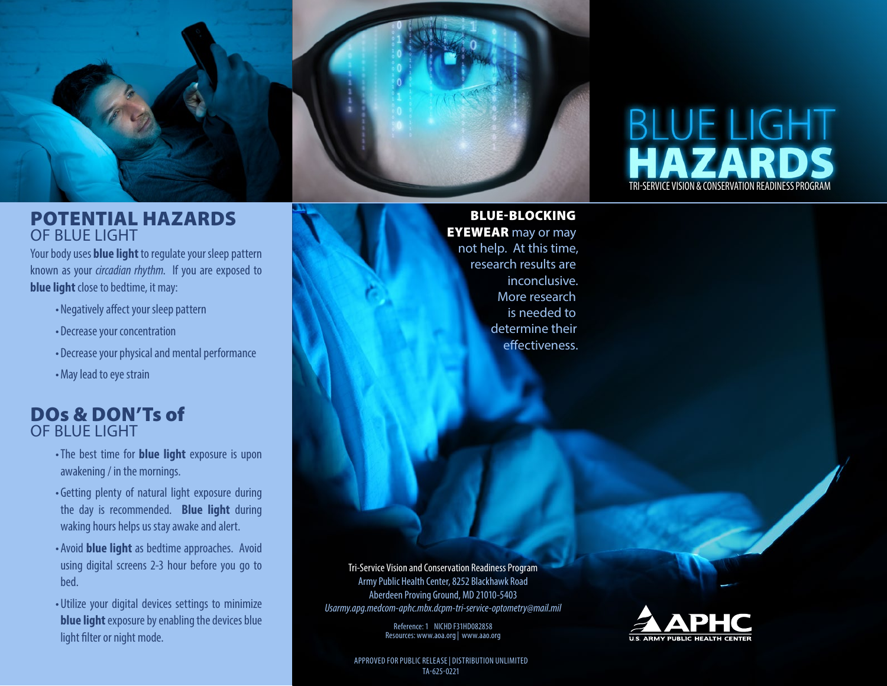

#### POTENTIAL HAZARDS OF BLUE LIGHT

Your body uses **blue light** to regulate your sleep pattern known as your *circadian rhythm*. If you are exposed to **blue light** close to bedtime, it may:

- Negatively affect your sleep pattern
- Decrease your concentration
- Decrease your physical and mental performance
- •May lead to eye strain

### DOs & DON'Ts of OF BLUE LIGHT

- •The best time for **blue light** exposure is upon awakening / in the mornings.
- Getting plenty of natural light exposure during the day is recommended. **Blue light** during waking hours helps us stay awake and alert.
- Avoid **blue light** as bedtime approaches. Avoid using digital screens 2-3 hour before you go to bed.
- Utilize your digital devices settings to minimize **blue light** exposure by enabling the devices blue light filter or night mode.

BLUE-BLOCKING **EYEWEAR** may or may

not help. At this time, research results are inconclusive. More research is needed to determine their effectiveness.

Tri-Service Vision and Conservation Readiness Program Army Public Health Center, 8252 Blackhawk Road Aberdeen Proving Ground, MD 21010-5403 *Usarmy.apg.medcom-aphc.mbx.dcpm-tri-service-optometry@mail.mil*

> Reference: 1 NICHD F31HD082858 Resources: www.aoa.org | www.aao.org



TRI-SERVICE VISION & CONSERVATION READINESS PROGRAM

**BLUE LIGHT**<br>HAZARDS

APPROVED FOR PUBLIC RELEASE | DISTRIBUTION UNLIMITED TA-625-0221